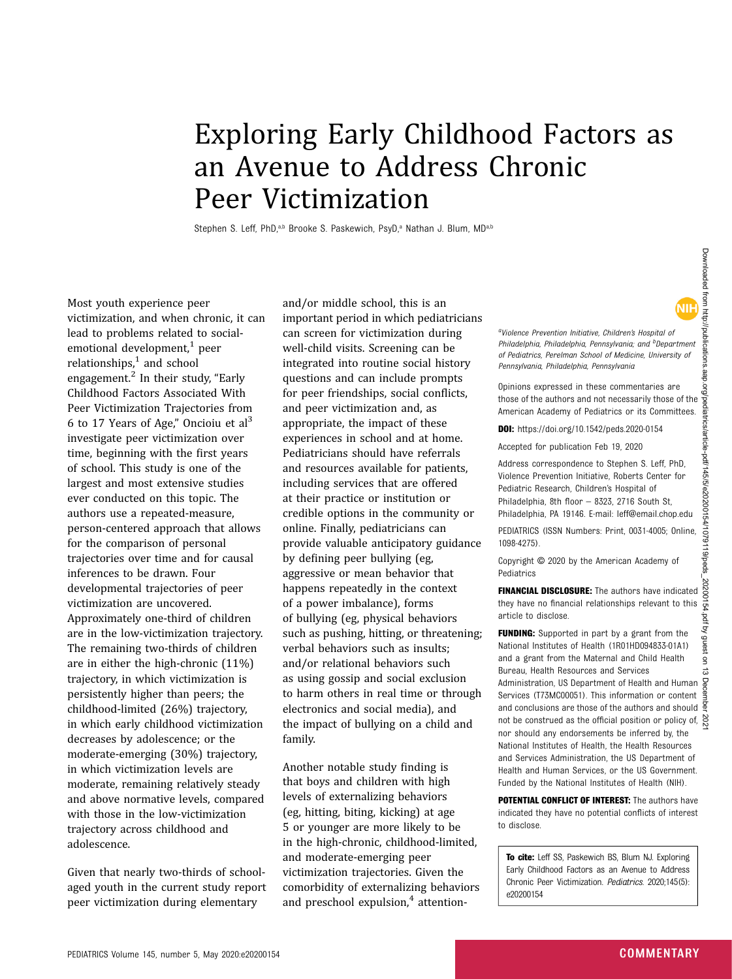## Exploring Early Childhood Factors as an Avenue to Address Chronic Peer Victimization

Stephen S. Leff, PhD,<sup>a,b</sup> Brooke S. Paskewich, PsyD,<sup>a</sup> Nathan J. Blum, MDa,b

Most youth experience peer victimization, and when chronic, it can lead to problems related to socialemotional development, $1$  peer relationships, $<sup>1</sup>$  $<sup>1</sup>$  $<sup>1</sup>$  and school</sup> engagement.<sup>[2](#page-1-0)</sup> In their study, "Early Childhood Factors Associated With Peer Victimization Trajectories from 6 to 17 Years of Age," Oncioiu et  $al<sup>3</sup>$ investigate peer victimization over time, beginning with the first years of school. This study is one of the largest and most extensive studies ever conducted on this topic. The authors use a repeated-measure, person-centered approach that allows for the comparison of personal trajectories over time and for causal inferences to be drawn. Four developmental trajectories of peer victimization are uncovered. Approximately one-third of children are in the low-victimization trajectory. The remaining two-thirds of children are in either the high-chronic (11%) trajectory, in which victimization is persistently higher than peers; the childhood-limited (26%) trajectory, in which early childhood victimization decreases by adolescence; or the moderate-emerging (30%) trajectory, in which victimization levels are moderate, remaining relatively steady and above normative levels, compared with those in the low-victimization trajectory across childhood and adolescence.

Given that nearly two-thirds of schoolaged youth in the current study report peer victimization during elementary

and/or middle school, this is an important period in which pediatricians can screen for victimization during well-child visits. Screening can be integrated into routine social history questions and can include prompts for peer friendships, social conflicts, and peer victimization and, as appropriate, the impact of these experiences in school and at home. Pediatricians should have referrals and resources available for patients, including services that are offered at their practice or institution or credible options in the community or online. Finally, pediatricians can provide valuable anticipatory guidance by defining peer bullying (eg, aggressive or mean behavior that happens repeatedly in the context of a power imbalance), forms of bullying (eg, physical behaviors such as pushing, hitting, or threatening; verbal behaviors such as insults; and/or relational behaviors such as using gossip and social exclusion to harm others in real time or through electronics and social media), and the impact of bullying on a child and family.

Another notable study finding is that boys and children with high levels of externalizing behaviors (eg, hitting, biting, kicking) at age 5 or younger are more likely to be in the high-chronic, childhood-limited, and moderate-emerging peer victimization trajectories. Given the comorbidity of externalizing behaviors and preschool expulsion, $4$  attention<sup>a</sup>Violence Prevention Initiative, Children's Hospital of<br>Philadelphia, Philadelphia, Pennsylvania; and <sup>b</sup>Department of Pediatrics, Perelman School of Medicine, University of Pennsylvania, Philadelphia, Pennsylvania

Opinions expressed in these commentaries are those of the authors and not necessarily those of the American Academy of Pediatrics or its Committees.

DOI: <https://doi.org/10.1542/peds.2020-0154>

Accepted for publication Feb 19, 2020

Address correspondence to Stephen S. Leff, PhD, Violence Prevention Initiative, Roberts Center for Pediatric Research, Children's Hospital of Philadelphia, 8th floor – 8323, 2716 South St, Philadelphia, PA 19146. E-mail: [leff@email.chop.edu](mailto:leff@email.chop.edu)

PEDIATRICS (ISSN Numbers: Print, 0031-4005; Online, 1098-4275).

Copyright © 2020 by the American Academy of Pediatrics

FINANCIAL DISCLOSURE: The authors have indicated they have no financial relationships relevant to this article to disclose.

FUNDING: Supported in part by a grant from the National Institutes of Health (1R01HD094833-01A1) and a grant from the Maternal and Child Health Bureau, Health Resources and Services Administration, US Department of Health and Human Services (T73MC00051). This information or content and conclusions are those of the authors and should not be construed as the official position or policy of,  $\frac{8}{6}$ nor should any endorsements be inferred by, the National Institutes of Health, the Health Resources and Services Administration, the US Department of Health and Human Services, or the US Government. Funded by the National Institutes of Health (NIH).

POTENTIAL CONFLICT OF INTEREST: The authors have indicated they have no potential conflicts of interest to disclose.

To cite: Leff SS, Paskewich BS, Blum NJ. Exploring Early Childhood Factors as an Avenue to Address Chronic Peer Victimization. Pediatrics. 2020;145(5): e20200154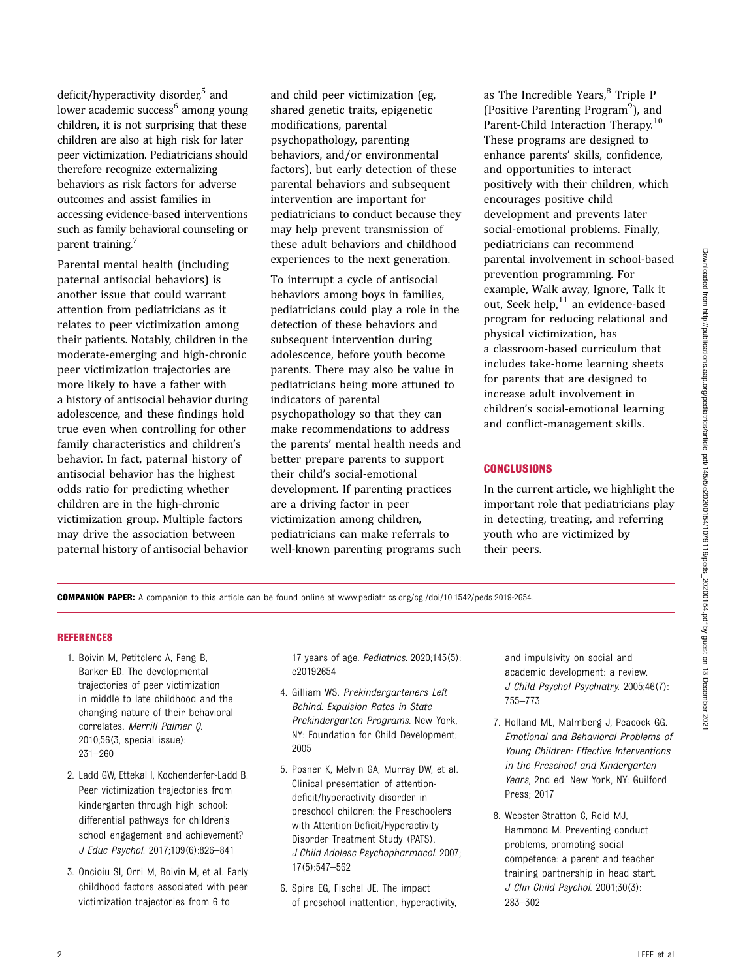Downloaded from http://publications.aap.org/pediatrics/article-pdf/145/5/62000154/1079119/peds\_20200154.pdf by guest on 13 December 202 Downloaded from http://publications.aap.org/pediatrics/article-pdf/145/5/e20200154/1079119/peds\_20200154.pdf by guest on 13 December 2021

<span id="page-1-0"></span>deficit/hyperactivity disorder,<sup>5</sup> and lower academic success<sup>6</sup> among young children, it is not surprising that these children are also at high risk for later peer victimization. Pediatricians should therefore recognize externalizing behaviors as risk factors for adverse outcomes and assist families in accessing evidence-based interventions such as family behavioral counseling or parent training.<sup>7</sup>

Parental mental health (including paternal antisocial behaviors) is another issue that could warrant attention from pediatricians as it relates to peer victimization among their patients. Notably, children in the moderate-emerging and high-chronic peer victimization trajectories are more likely to have a father with a history of antisocial behavior during adolescence, and these findings hold true even when controlling for other family characteristics and children's behavior. In fact, paternal history of antisocial behavior has the highest odds ratio for predicting whether children are in the high-chronic victimization group. Multiple factors may drive the association between paternal history of antisocial behavior

and child peer victimization (eg, shared genetic traits, epigenetic modifications, parental psychopathology, parenting behaviors, and/or environmental factors), but early detection of these parental behaviors and subsequent intervention are important for pediatricians to conduct because they may help prevent transmission of these adult behaviors and childhood experiences to the next generation.

To interrupt a cycle of antisocial behaviors among boys in families, pediatricians could play a role in the detection of these behaviors and subsequent intervention during adolescence, before youth become parents. There may also be value in pediatricians being more attuned to indicators of parental psychopathology so that they can make recommendations to address the parents' mental health needs and better prepare parents to support their child's social-emotional development. If parenting practices are a driving factor in peer victimization among children, pediatricians can make referrals to well-known parenting programs such as The Incredible Years,<sup>8</sup> Triple P (Positive Parenting Program<sup>[9](#page-2-0)</sup>), and Parent-Child Interaction Therapy.<sup>[10](#page-2-0)</sup> These programs are designed to enhance parents' skills, confidence, and opportunities to interact positively with their children, which encourages positive child development and prevents later social-emotional problems. Finally, pediatricians can recommend parental involvement in school-based prevention programming. For example, Walk away, Ignore, Talk it out, Seek help, $11$  an evidence-based program for reducing relational and physical victimization, has a classroom-based curriculum that includes take-home learning sheets for parents that are designed to increase adult involvement in children's social-emotional learning and conflict-management skills.

## **CONCLUSIONS**

In the current article, we highlight the important role that pediatricians play in detecting, treating, and referring youth who are victimized by their peers.

COMPANION PAPER: A companion to this article can be found online at www.pediatrics.org/cgi/doi/10.1542/peds.2019-2654.

## REFERENCES

- 1. Boivin M, Petitclerc A, Feng B, Barker ED. The developmental trajectories of peer victimization in middle to late childhood and the changing nature of their behavioral correlates. Merrill Palmer Q. 2010;56(3, special issue): 231–260
- 2. Ladd GW, Ettekal I, Kochenderfer-Ladd B. Peer victimization trajectories from kindergarten through high school: differential pathways for children's school engagement and achievement? J Educ Psychol. 2017;109(6):826–841
- 3. Oncioiu SI, Orri M, Boivin M, et al. Early childhood factors associated with peer victimization trajectories from 6 to

17 years of age. Pediatrics. 2020;145(5): e20192654

- 4. Gilliam WS. Prekindergarteners Left Behind: Expulsion Rates in State Prekindergarten Programs. New York, NY: Foundation for Child Development; 2005
- 5. Posner K, Melvin GA, Murray DW, et al. Clinical presentation of attentiondeficit/hyperactivity disorder in preschool children: the Preschoolers with Attention-Deficit/Hyperactivity Disorder Treatment Study (PATS). J Child Adolesc Psychopharmacol. 2007; 17(5):547–562
- 6. Spira EG, Fischel JE. The impact of preschool inattention, hyperactivity,

and impulsivity on social and academic development: a review. J Child Psychol Psychiatry. 2005;46(7): 755–773

- 7. Holland ML, Malmberg J, Peacock GG. Emotional and Behavioral Problems of Young Children: Effective Interventions in the Preschool and Kindergarten Years, 2nd ed. New York, NY: Guilford Press; 2017
- 8. Webster-Stratton C, Reid MJ, Hammond M. Preventing conduct problems, promoting social competence: a parent and teacher training partnership in head start. J Clin Child Psychol. 2001;30(3): 283–302